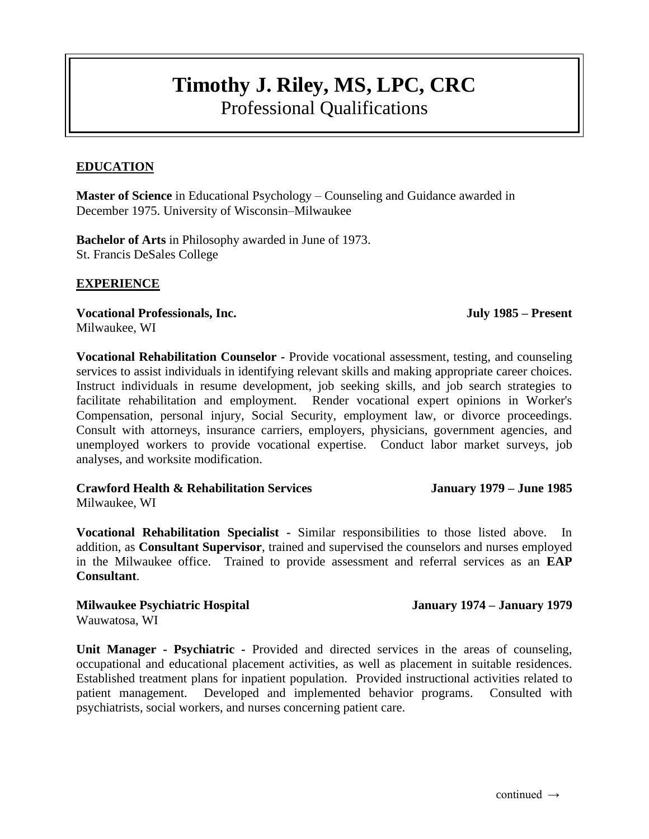# **Timothy J. Riley, MS, LPC, CRC** Professional Qualifications

## **EDUCATION**

**Master of Science** in Educational Psychology – Counseling and Guidance awarded in December 1975. University of Wisconsin–Milwaukee

**Bachelor of Arts** in Philosophy awarded in June of 1973. St. Francis DeSales College

#### **EXPERIENCE**

**Vocational Professionals, Inc. July 1985 – Present** Milwaukee, WI

**Vocational Rehabilitation Counselor -** Provide vocational assessment, testing, and counseling services to assist individuals in identifying relevant skills and making appropriate career choices. Instruct individuals in resume development, job seeking skills, and job search strategies to facilitate rehabilitation and employment. Render vocational expert opinions in Worker's Compensation, personal injury, Social Security, employment law, or divorce proceedings. Consult with attorneys, insurance carriers, employers, physicians, government agencies, and unemployed workers to provide vocational expertise. Conduct labor market surveys, job analyses, and worksite modification.

**Crawford Health & Rehabilitation Services January 1979 – June 1985** Milwaukee, WI

**Vocational Rehabilitation Specialist -** Similar responsibilities to those listed above. In addition, as **Consultant Supervisor**, trained and supervised the counselors and nurses employed in the Milwaukee office. Trained to provide assessment and referral services as an **EAP Consultant**.

#### **Milwaukee Psychiatric Hospital January 1974 – January 1979**

Wauwatosa, WI

**Unit Manager - Psychiatric -** Provided and directed services in the areas of counseling, occupational and educational placement activities, as well as placement in suitable residences. Established treatment plans for inpatient population. Provided instructional activities related to patient management. Developed and implemented behavior programs. Consulted with psychiatrists, social workers, and nurses concerning patient care.